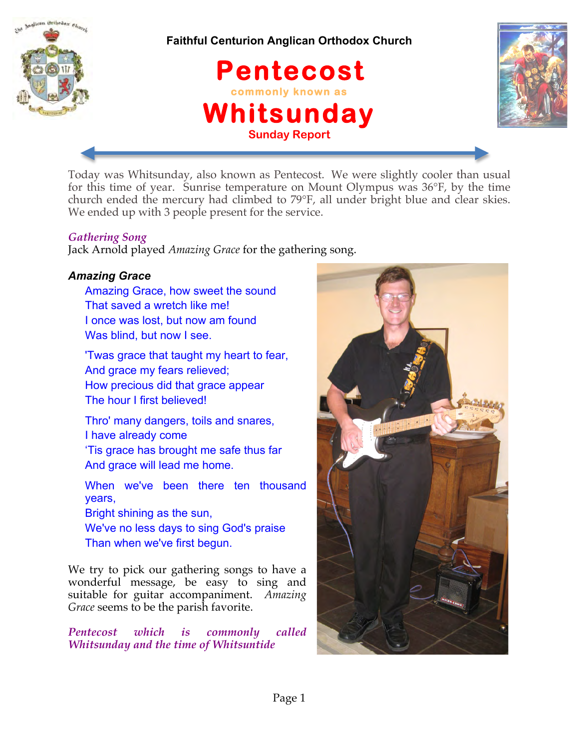

**Faithful Centurion Anglican Orthodox Church**





Today was Whitsunday, also known as Pentecost. We were slightly cooler than usual for this time of year. Sunrise temperature on Mount Olympus was 36°F, by the time church ended the mercury had climbed to 79°F, all under bright blue and clear skies. We ended up with 3 people present for the service.

# *Gathering Song*

Jack Arnold played *Amazing Grace* for the gathering song.

# *Amazing Grace*

Amazing Grace, how sweet the sound That saved a wretch like me! I once was lost, but now am found Was blind, but now I see.

'Twas grace that taught my heart to fear, And grace my fears relieved; How precious did that grace appear The hour I first believed!

Thro' many dangers, toils and snares, I have already come 'Tis grace has brought me safe thus far

And grace will lead me home.

When we've been there ten thousand years, Bright shining as the sun, We've no less days to sing God's praise Than when we've first begun.

We try to pick our gathering songs to have a wonderful message, be easy to sing and suitable for guitar accompaniment. *Amazing Grace* seems to be the parish favorite.

*Pentecost which is commonly called Whitsunday and the time of Whitsuntide*

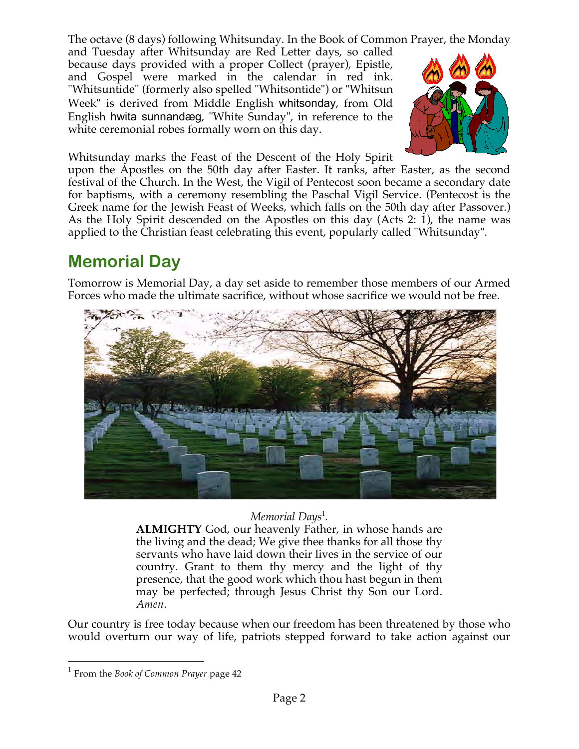The octave (8 days) following Whitsunday. In the Book of Common Prayer, the Monday

and Tuesday after Whitsunday are Red Letter days, so called because days provided with a proper Collect (prayer), Epistle, and Gospel were marked in the calendar in red ink. "Whitsuntide" (formerly also spelled "Whitsontide") or "Whitsun Week" is derived from Middle English whitsonday, from Old English hwita sunnandæg, "White Sunday", in reference to the white ceremonial robes formally worn on this day.



Whitsunday marks the Feast of the Descent of the Holy Spirit

upon the Apostles on the 50th day after Easter. It ranks, after Easter, as the second festival of the Church. In the West, the Vigil of Pentecost soon became a secondary date for baptisms, with a ceremony resembling the Paschal Vigil Service. (Pentecost is the Greek name for the Jewish Feast of Weeks, which falls on the 50th day after Passover.) As the Holy Spirit descended on the Apostles on this day (Acts 2: 1), the name was applied to the Christian feast celebrating this event, popularly called "Whitsunday".

# **Memorial Day**

Tomorrow is Memorial Day, a day set aside to remember those members of our Armed Forces who made the ultimate sacrifice, without whose sacrifice we would not be free.



# *Memorial Days*<sup>1</sup> *.*

**ALMIGHTY** God, our heavenly Father, in whose hands are the living and the dead; We give thee thanks for all those thy servants who have laid down their lives in the service of our country. Grant to them thy mercy and the light of thy presence, that the good work which thou hast begun in them may be perfected; through Jesus Christ thy Son our Lord. *Amen*.

Our country is free today because when our freedom has been threatened by those who would overturn our way of life, patriots stepped forward to take action against our

 <sup>1</sup> From the *Book of Common Prayer* page 42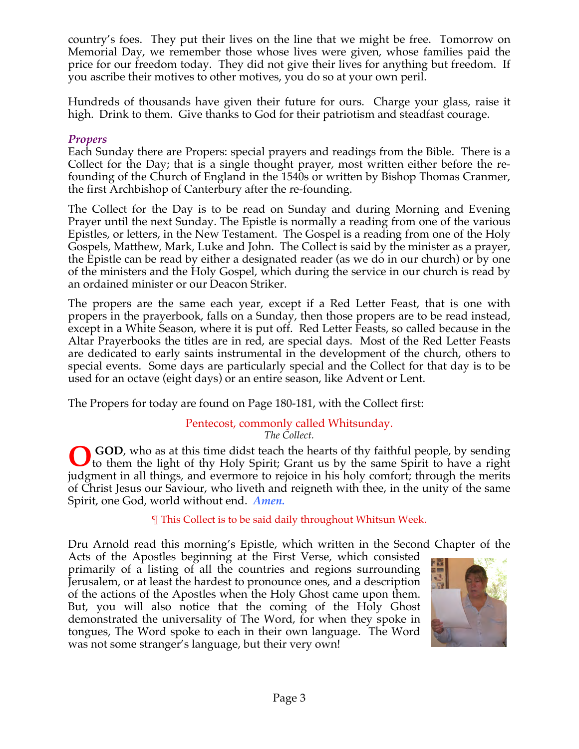country's foes. They put their lives on the line that we might be free. Tomorrow on Memorial Day, we remember those whose lives were given, whose families paid the price for our freedom today. They did not give their lives for anything but freedom. If you ascribe their motives to other motives, you do so at your own peril.

Hundreds of thousands have given their future for ours. Charge your glass, raise it high. Drink to them. Give thanks to God for their patriotism and steadfast courage.

# *Propers*

Each Sunday there are Propers: special prayers and readings from the Bible. There is a Collect for the Day; that is a single thought prayer, most written either before the refounding of the Church of England in the 1540s or written by Bishop Thomas Cranmer, the first Archbishop of Canterbury after the re-founding.

The Collect for the Day is to be read on Sunday and during Morning and Evening Prayer until the next Sunday. The Epistle is normally a reading from one of the various Epistles, or letters, in the New Testament. The Gospel is a reading from one of the Holy Gospels, Matthew, Mark, Luke and John. The Collect is said by the minister as a prayer, the Epistle can be read by either a designated reader (as we do in our church) or by one of the ministers and the Holy Gospel, which during the service in our church is read by an ordained minister or our Deacon Striker.

The propers are the same each year, except if a Red Letter Feast, that is one with propers in the prayerbook, falls on a Sunday, then those propers are to be read instead, except in a White Season, where it is put off. Red Letter Feasts, so called because in the Altar Prayerbooks the titles are in red, are special days. Most of the Red Letter Feasts are dedicated to early saints instrumental in the development of the church, others to special events. Some days are particularly special and the Collect for that day is to be used for an octave (eight days) or an entire season, like Advent or Lent.

The Propers for today are found on Page 180-181, with the Collect first:

# Pentecost, commonly called Whitsunday.

*The Collect.*

 **GOD**, who as at this time didst teach the hearts of thy faithful people, by sending **O** GOD, who as at this time didst teach the hearts of thy faithful people, by sending to them the light of thy Holy Spirit; Grant us by the same Spirit to have a right judgment in all things, and evermore to rejoice in his holy comfort; through the merits of Christ Jesus our Saviour, who liveth and reigneth with thee, in the unity of the same Spirit, one God, world without end. *Amen.*

¶ This Collect is to be said daily throughout Whitsun Week.

Dru Arnold read this morning's Epistle, which written in the Second Chapter of the

Acts of the Apostles beginning at the First Verse, which consisted primarily of a listing of all the countries and regions surrounding Jerusalem, or at least the hardest to pronounce ones, and a description of the actions of the Apostles when the Holy Ghost came upon them. But, you will also notice that the coming of the Holy Ghost demonstrated the universality of The Word, for when they spoke in tongues, The Word spoke to each in their own language. The Word was not some stranger's language, but their very own!

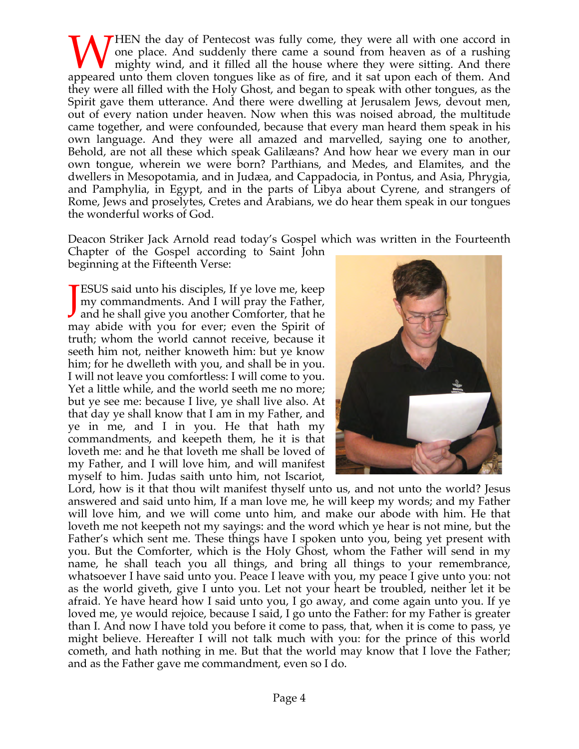**THEN** the day of Pentecost was fully come, they were all with one accord in one place. And suddenly there came a sound from heaven as of a rushing mighty wind, and it filled all the house where they were sitting. And there WHEN the day of Pentecost was fully come, they were all with one accord in one place. And suddenly there came a sound from heaven as of a rushing mighty wind, and it filled all the house where they were sitting. And there they were all filled with the Holy Ghost, and began to speak with other tongues, as the Spirit gave them utterance. And there were dwelling at Jerusalem Jews, devout men, out of every nation under heaven. Now when this was noised abroad, the multitude came together, and were confounded, because that every man heard them speak in his own language. And they were all amazed and marvelled, saying one to another, Behold, are not all these which speak Galilæans? And how hear we every man in our own tongue, wherein we were born? Parthians, and Medes, and Elamites, and the dwellers in Mesopotamia, and in Judæa, and Cappadocia, in Pontus, and Asia, Phrygia, and Pamphylia, in Egypt, and in the parts of Libya about Cyrene, and strangers of Rome, Jews and proselytes, Cretes and Arabians, we do hear them speak in our tongues the wonderful works of God.

Deacon Striker Jack Arnold read today's Gospel which was written in the Fourteenth

Chapter of the Gospel according to Saint John beginning at the Fifteenth Verse:

**ESUS** said unto his disciples, If ye love me, keep my commandments. And I will pray the Father, **TESUS** said unto his disciples, If ye love me, keep my commandments. And I will pray the Father, and he shall give you another Comforter, that he may abide with you for ever; even the Spirit of truth; whom the world cannot receive, because it seeth him not, neither knoweth him: but ye know him; for he dwelleth with you, and shall be in you. I will not leave you comfortless: I will come to you. Yet a little while, and the world seeth me no more; but ye see me: because I live, ye shall live also. At that day ye shall know that I am in my Father, and ye in me, and I in you. He that hath my commandments, and keepeth them, he it is that loveth me: and he that loveth me shall be loved of my Father, and I will love him, and will manifest myself to him. Judas saith unto him, not Iscariot,



Lord, how is it that thou wilt manifest thyself unto us, and not unto the world? Jesus answered and said unto him, If a man love me, he will keep my words; and my Father will love him, and we will come unto him, and make our abode with him. He that loveth me not keepeth not my sayings: and the word which ye hear is not mine, but the Father's which sent me. These things have I spoken unto you, being yet present with you. But the Comforter, which is the Holy Ghost, whom the Father will send in my name, he shall teach you all things, and bring all things to your remembrance, whatsoever I have said unto you. Peace I leave with you, my peace I give unto you: not as the world giveth, give I unto you. Let not your heart be troubled, neither let it be afraid. Ye have heard how I said unto you, I go away, and come again unto you. If ye loved me, ye would rejoice, because I said, I go unto the Father: for my Father is greater than I. And now I have told you before it come to pass, that, when it is come to pass, ye might believe. Hereafter I will not talk much with you: for the prince of this world cometh, and hath nothing in me. But that the world may know that I love the Father; and as the Father gave me commandment, even so I do.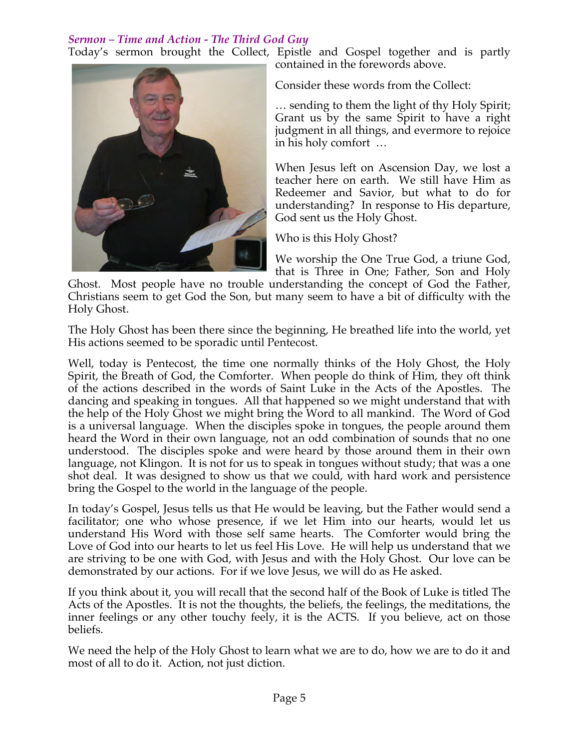# *Sermon – Time and Action - The Third God Guy*

Today's sermon brought the Collect, Epistle and Gospel together and is partly contained in the forewords above.



Consider these words from the Collect:

… sending to them the light of thy Holy Spirit; Grant us by the same Spirit to have a right judgment in all things, and evermore to rejoice in his holy comfort …

When Jesus left on Ascension Day, we lost a teacher here on earth. We still have Him as Redeemer and Savior, but what to do for understanding? In response to His departure, God sent us the Holy Ghost.

Who is this Holy Ghost?

We worship the One True God, a triune God, that is Three in One; Father, Son and Holy

Ghost. Most people have no trouble understanding the concept of God the Father, Christians seem to get God the Son, but many seem to have a bit of difficulty with the Holy Ghost.

The Holy Ghost has been there since the beginning, He breathed life into the world, yet His actions seemed to be sporadic until Pentecost.

Well, today is Pentecost, the time one normally thinks of the Holy Ghost, the Holy Spirit, the Breath of God, the Comforter. When people do think of Him, they oft think of the actions described in the words of Saint Luke in the Acts of the Apostles. The dancing and speaking in tongues. All that happened so we might understand that with the help of the Holy Ghost we might bring the Word to all mankind. The Word of God is a universal language. When the disciples spoke in tongues, the people around them heard the Word in their own language, not an odd combination of sounds that no one understood. The disciples spoke and were heard by those around them in their own language, not Klingon. It is not for us to speak in tongues without study; that was a one shot deal. It was designed to show us that we could, with hard work and persistence bring the Gospel to the world in the language of the people.

In today's Gospel, Jesus tells us that He would be leaving, but the Father would send a facilitator; one who whose presence, if we let Him into our hearts, would let us understand His Word with those self same hearts. The Comforter would bring the Love of God into our hearts to let us feel His Love. He will help us understand that we are striving to be one with God, with Jesus and with the Holy Ghost. Our love can be demonstrated by our actions. For if we love Jesus, we will do as He asked.

If you think about it, you will recall that the second half of the Book of Luke is titled The Acts of the Apostles. It is not the thoughts, the beliefs, the feelings, the meditations, the inner feelings or any other touchy feely, it is the ACTS. If you believe, act on those beliefs.

We need the help of the Holy Ghost to learn what we are to do, how we are to do it and most of all to do it. Action, not just diction.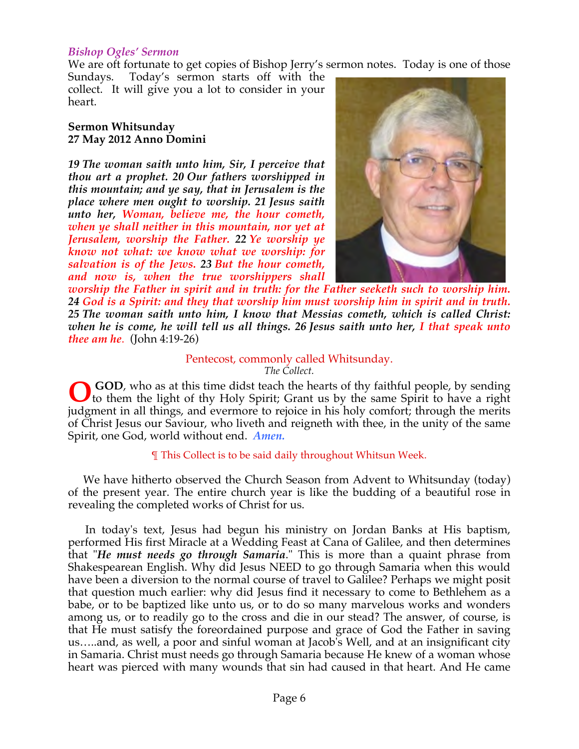### *Bishop Ogles' Sermon*

We are oft fortunate to get copies of Bishop Jerry's sermon notes. Today is one of those

Sundays. Today's sermon starts off with the collect. It will give you a lot to consider in your heart.

#### **Sermon Whitsunday 27 May 2012 Anno Domini**

*19 The woman saith unto him, Sir, I perceive that thou art a prophet. 20 Our fathers worshipped in this mountain; and ye say, that in Jerusalem is the place where men ought to worship. 21 Jesus saith unto her, Woman, believe me, the hour cometh, when ye shall neither in this mountain, nor yet at Jerusalem, worship the Father. 22 Ye worship ye know not what: we know what we worship: for salvation is of the Jews. 23 But the hour cometh, and now is, when the true worshippers shall* 



*worship the Father in spirit and in truth: for the Father seeketh such to worship him. 24 God is a Spirit: and they that worship him must worship him in spirit and in truth. 25 The woman saith unto him, I know that Messias cometh, which is called Christ: when he is come, he will tell us all things. 26 Jesus saith unto her, I that speak unto thee am he*. (John 4:19-26)

#### Pentecost, commonly called Whitsunday.

*The Collect.*

 **GOD**, who as at this time didst teach the hearts of thy faithful people, by sending to them the light of thy Holy Spirit; Grant us by the same Spirit to have a right judgment in all things, and evermore to rejoice in his holy comfort; through the merits of Christ Jesus our Saviour, who liveth and reigneth with thee, in the unity of the same Spirit, one God, world without end. *Amen.* **O**

#### ¶ This Collect is to be said daily throughout Whitsun Week.

 We have hitherto observed the Church Season from Advent to Whitsunday (today) of the present year. The entire church year is like the budding of a beautiful rose in revealing the completed works of Christ for us.

 In today's text, Jesus had begun his ministry on Jordan Banks at His baptism, performed His first Miracle at a Wedding Feast at Cana of Galilee, and then determines that "*He must needs go through Samaria*." This is more than a quaint phrase from Shakespearean English. Why did Jesus NEED to go through Samaria when this would have been a diversion to the normal course of travel to Galilee? Perhaps we might posit that question much earlier: why did Jesus find it necessary to come to Bethlehem as a babe, or to be baptized like unto us, or to do so many marvelous works and wonders among us, or to readily go to the cross and die in our stead? The answer, of course, is that He must satisfy the foreordained purpose and grace of God the Father in saving us…..and, as well, a poor and sinful woman at Jacob's Well, and at an insignificant city in Samaria. Christ must needs go through Samaria because He knew of a woman whose heart was pierced with many wounds that sin had caused in that heart. And He came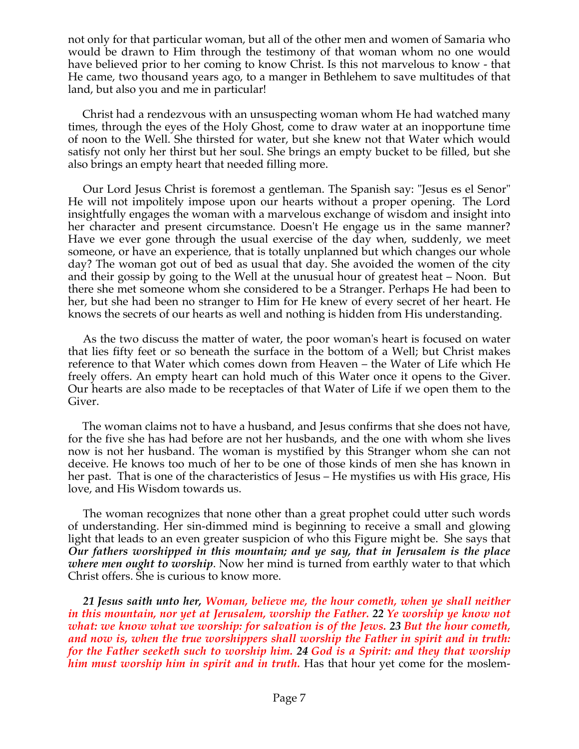not only for that particular woman, but all of the other men and women of Samaria who would be drawn to Him through the testimony of that woman whom no one would have believed prior to her coming to know Christ. Is this not marvelous to know - that He came, two thousand years ago, to a manger in Bethlehem to save multitudes of that land, but also you and me in particular!

 Christ had a rendezvous with an unsuspecting woman whom He had watched many times, through the eyes of the Holy Ghost, come to draw water at an inopportune time of noon to the Well. She thirsted for water, but she knew not that Water which would satisfy not only her thirst but her soul. She brings an empty bucket to be filled, but she also brings an empty heart that needed filling more.

 Our Lord Jesus Christ is foremost a gentleman. The Spanish say: "Jesus es el Senor" He will not impolitely impose upon our hearts without a proper opening. The Lord insightfully engages the woman with a marvelous exchange of wisdom and insight into her character and present circumstance. Doesn't He engage us in the same manner? Have we ever gone through the usual exercise of the day when, suddenly, we meet someone, or have an experience, that is totally unplanned but which changes our whole day? The woman got out of bed as usual that day. She avoided the women of the city and their gossip by going to the Well at the unusual hour of greatest heat – Noon. But there she met someone whom she considered to be a Stranger. Perhaps He had been to her, but she had been no stranger to Him for He knew of every secret of her heart. He knows the secrets of our hearts as well and nothing is hidden from His understanding.

 As the two discuss the matter of water, the poor woman's heart is focused on water that lies fifty feet or so beneath the surface in the bottom of a Well; but Christ makes reference to that Water which comes down from Heaven – the Water of Life which He freely offers. An empty heart can hold much of this Water once it opens to the Giver. Our hearts are also made to be receptacles of that Water of Life if we open them to the Giver.

 The woman claims not to have a husband, and Jesus confirms that she does not have, for the five she has had before are not her husbands, and the one with whom she lives now is not her husband. The woman is mystified by this Stranger whom she can not deceive. He knows too much of her to be one of those kinds of men she has known in her past. That is one of the characteristics of Jesus – He mystifies us with His grace, His love, and His Wisdom towards us.

 The woman recognizes that none other than a great prophet could utter such words of understanding. Her sin-dimmed mind is beginning to receive a small and glowing light that leads to an even greater suspicion of who this Figure might be. She says that *Our fathers worshipped in this mountain; and ye say, that in Jerusalem is the place where men ought to worship*. Now her mind is turned from earthly water to that which Christ offers. She is curious to know more.

 *21 Jesus saith unto her, Woman, believe me, the hour cometh, when ye shall neither in this mountain, nor yet at Jerusalem, worship the Father. 22 Ye worship ye know not what: we know what we worship: for salvation is of the Jews. 23 But the hour cometh, and now is, when the true worshippers shall worship the Father in spirit and in truth: for the Father seeketh such to worship him. 24 God is a Spirit: and they that worship him must worship him in spirit and in truth.* Has that hour yet come for the moslem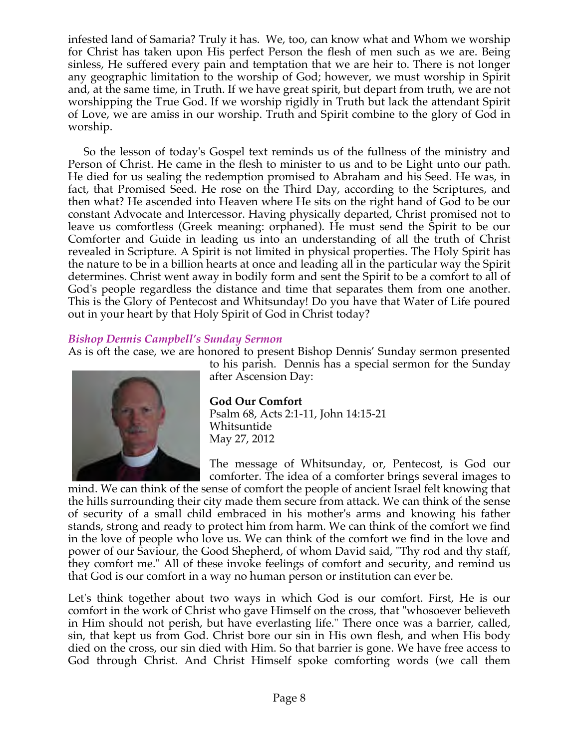infested land of Samaria? Truly it has. We, too, can know what and Whom we worship for Christ has taken upon His perfect Person the flesh of men such as we are. Being sinless, He suffered every pain and temptation that we are heir to. There is not longer any geographic limitation to the worship of God; however, we must worship in Spirit and, at the same time, in Truth. If we have great spirit, but depart from truth, we are not worshipping the True God. If we worship rigidly in Truth but lack the attendant Spirit of Love, we are amiss in our worship. Truth and Spirit combine to the glory of God in worship.

 So the lesson of today's Gospel text reminds us of the fullness of the ministry and Person of Christ. He came in the flesh to minister to us and to be Light unto our path. He died for us sealing the redemption promised to Abraham and his Seed. He was, in fact, that Promised Seed. He rose on the Third Day, according to the Scriptures, and then what? He ascended into Heaven where He sits on the right hand of God to be our constant Advocate and Intercessor. Having physically departed, Christ promised not to leave us comfortless (Greek meaning: orphaned). He must send the Spirit to be our Comforter and Guide in leading us into an understanding of all the truth of Christ revealed in Scripture. A Spirit is not limited in physical properties. The Holy Spirit has the nature to be in a billion hearts at once and leading all in the particular way the Spirit determines. Christ went away in bodily form and sent the Spirit to be a comfort to all of God's people regardless the distance and time that separates them from one another. This is the Glory of Pentecost and Whitsunday! Do you have that Water of Life poured out in your heart by that Holy Spirit of God in Christ today?

# *Bishop Dennis Campbell's Sunday Sermon*

As is oft the case, we are honored to present Bishop Dennis' Sunday sermon presented to his parish. Dennis has a special sermon for the Sunday



after Ascension Day: **God Our Comfort** Psalm 68, Acts 2:1-11, John 14:15-21 Whitsuntide

May 27, 2012 The message of Whitsunday, or, Pentecost, is God our

comforter. The idea of a comforter brings several images to mind. We can think of the sense of comfort the people of ancient Israel felt knowing that the hills surrounding their city made them secure from attack. We can think of the sense of security of a small child embraced in his mother's arms and knowing his father stands, strong and ready to protect him from harm. We can think of the comfort we find in the love of people who love us. We can think of the comfort we find in the love and power of our Saviour, the Good Shepherd, of whom David said, "Thy rod and thy staff, they comfort me." All of these invoke feelings of comfort and security, and remind us that God is our comfort in a way no human person or institution can ever be.

Let's think together about two ways in which God is our comfort. First, He is our comfort in the work of Christ who gave Himself on the cross, that "whosoever believeth in Him should not perish, but have everlasting life." There once was a barrier, called, sin, that kept us from God. Christ bore our sin in His own flesh, and when His body died on the cross, our sin died with Him. So that barrier is gone. We have free access to God through Christ. And Christ Himself spoke comforting words (we call them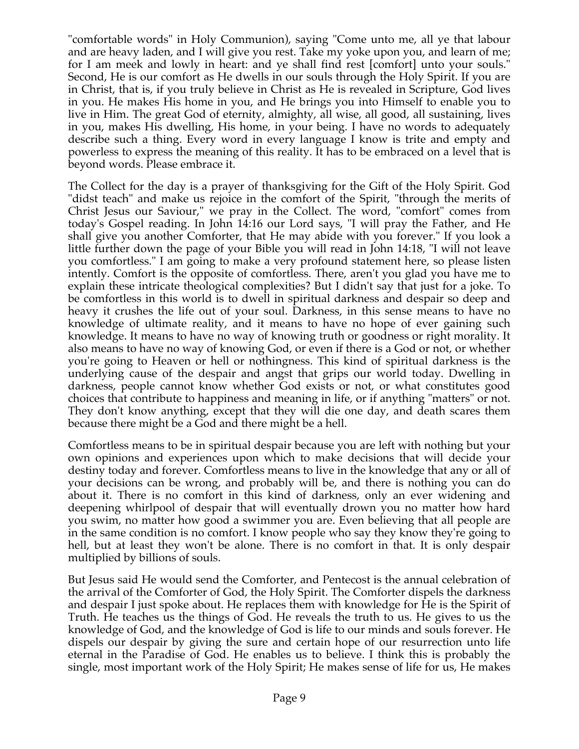"comfortable words" in Holy Communion), saying "Come unto me, all ye that labour and are heavy laden, and I will give you rest. Take my yoke upon you, and learn of me; for I am meek and lowly in heart: and ye shall find rest [comfort] unto your souls." Second, He is our comfort as He dwells in our souls through the Holy Spirit. If you are in Christ, that is, if you truly believe in Christ as He is revealed in Scripture, God lives in you. He makes His home in you, and He brings you into Himself to enable you to live in Him. The great God of eternity, almighty, all wise, all good, all sustaining, lives in you, makes His dwelling, His home, in your being. I have no words to adequately describe such a thing. Every word in every language I know is trite and empty and powerless to express the meaning of this reality. It has to be embraced on a level that is beyond words. Please embrace it.

The Collect for the day is a prayer of thanksgiving for the Gift of the Holy Spirit. God "didst teach" and make us rejoice in the comfort of the Spirit, "through the merits of Christ Jesus our Saviour," we pray in the Collect. The word, "comfort" comes from today's Gospel reading. In John 14:16 our Lord says, "I will pray the Father, and He shall give you another Comforter, that He may abide with you forever." If you look a little further down the page of your Bible you will read in John 14:18, "I will not leave you comfortless." I am going to make a very profound statement here, so please listen intently. Comfort is the opposite of comfortless. There, aren't you glad you have me to explain these intricate theological complexities? But I didn't say that just for a joke. To be comfortless in this world is to dwell in spiritual darkness and despair so deep and heavy it crushes the life out of your soul. Darkness, in this sense means to have no knowledge of ultimate reality, and it means to have no hope of ever gaining such knowledge. It means to have no way of knowing truth or goodness or right morality. It also means to have no way of knowing God, or even if there is a God or not, or whether you're going to Heaven or hell or nothingness. This kind of spiritual darkness is the underlying cause of the despair and angst that grips our world today. Dwelling in darkness, people cannot know whether God exists or not, or what constitutes good choices that contribute to happiness and meaning in life, or if anything "matters" or not. They don't know anything, except that they will die one day, and death scares them because there might be a God and there might be a hell.

Comfortless means to be in spiritual despair because you are left with nothing but your own opinions and experiences upon which to make decisions that will decide your destiny today and forever. Comfortless means to live in the knowledge that any or all of your decisions can be wrong, and probably will be, and there is nothing you can do about it. There is no comfort in this kind of darkness, only an ever widening and deepening whirlpool of despair that will eventually drown you no matter how hard you swim, no matter how good a swimmer you are. Even believing that all people are in the same condition is no comfort. I know people who say they know they're going to hell, but at least they won't be alone. There is no comfort in that. It is only despair multiplied by billions of souls.

But Jesus said He would send the Comforter, and Pentecost is the annual celebration of the arrival of the Comforter of God, the Holy Spirit. The Comforter dispels the darkness and despair I just spoke about. He replaces them with knowledge for He is the Spirit of Truth. He teaches us the things of God. He reveals the truth to us. He gives to us the knowledge of God, and the knowledge of God is life to our minds and souls forever. He dispels our despair by giving the sure and certain hope of our resurrection unto life eternal in the Paradise of God. He enables us to believe. I think this is probably the single, most important work of the Holy Spirit; He makes sense of life for us, He makes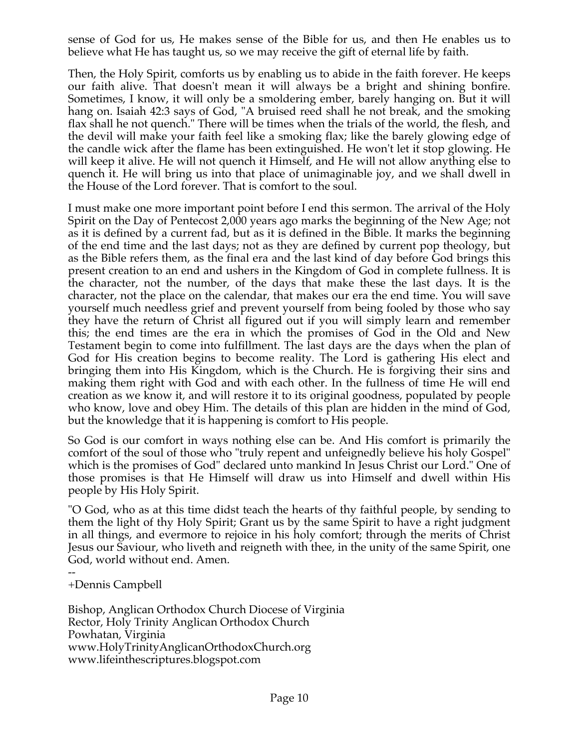sense of God for us, He makes sense of the Bible for us, and then He enables us to believe what He has taught us, so we may receive the gift of eternal life by faith.

Then, the Holy Spirit, comforts us by enabling us to abide in the faith forever. He keeps our faith alive. That doesn't mean it will always be a bright and shining bonfire. Sometimes, I know, it will only be a smoldering ember, barely hanging on. But it will hang on. Isaiah 42:3 says of God, "A bruised reed shall he not break, and the smoking flax shall he not quench." There will be times when the trials of the world, the flesh, and the devil will make your faith feel like a smoking flax; like the barely glowing edge of the candle wick after the flame has been extinguished. He won't let it stop glowing. He will keep it alive. He will not quench it Himself, and He will not allow anything else to quench it. He will bring us into that place of unimaginable joy, and we shall dwell in the House of the Lord forever. That is comfort to the soul.

I must make one more important point before I end this sermon. The arrival of the Holy Spirit on the Day of Pentecost 2,000 years ago marks the beginning of the New Age; not as it is defined by a current fad, but as it is defined in the Bible. It marks the beginning of the end time and the last days; not as they are defined by current pop theology, but as the Bible refers them, as the final era and the last kind of day before God brings this present creation to an end and ushers in the Kingdom of God in complete fullness. It is the character, not the number, of the days that make these the last days. It is the character, not the place on the calendar, that makes our era the end time. You will save yourself much needless grief and prevent yourself from being fooled by those who say they have the return of Christ all figured out if you will simply learn and remember this; the end times are the era in which the promises of God in the Old and New Testament begin to come into fulfillment. The last days are the days when the plan of God for His creation begins to become reality. The Lord is gathering His elect and bringing them into His Kingdom, which is the Church. He is forgiving their sins and making them right with God and with each other. In the fullness of time He will end creation as we know it, and will restore it to its original goodness, populated by people who know, love and obey Him. The details of this plan are hidden in the mind of God, but the knowledge that it is happening is comfort to His people.

So God is our comfort in ways nothing else can be. And His comfort is primarily the comfort of the soul of those who "truly repent and unfeignedly believe his holy Gospel" which is the promises of God" declared unto mankind In Jesus Christ our Lord." One of those promises is that He Himself will draw us into Himself and dwell within His people by His Holy Spirit.

"O God, who as at this time didst teach the hearts of thy faithful people, by sending to them the light of thy Holy Spirit; Grant us by the same Spirit to have a right judgment in all things, and evermore to rejoice in his holy comfort; through the merits of Christ Jesus our Saviour, who liveth and reigneth with thee, in the unity of the same Spirit, one God, world without end. Amen.

-- +Dennis Campbell

Bishop, Anglican Orthodox Church Diocese of Virginia Rector, Holy Trinity Anglican Orthodox Church Powhatan, Virginia www.HolyTrinityAnglicanOrthodoxChurch.org www.lifeinthescriptures.blogspot.com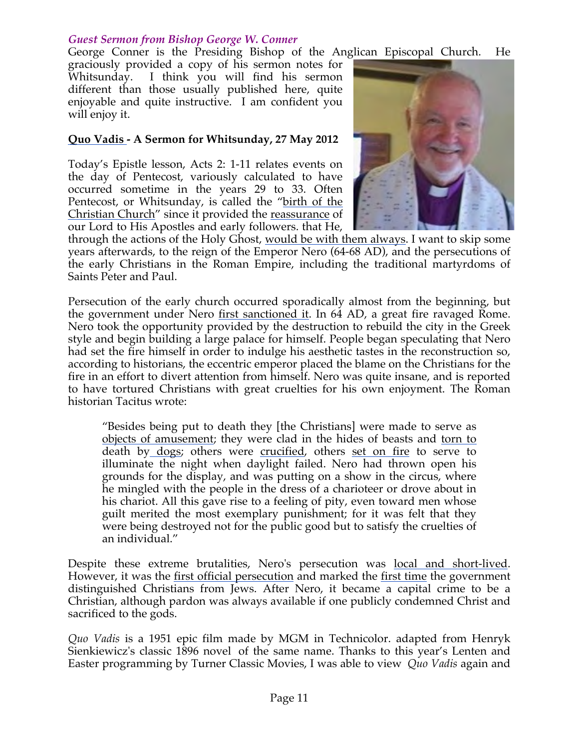# *Guest Sermon from Bishop George W. Conner*

George Conner is the Presiding Bishop of the Anglican Episcopal Church. He

graciously provided a copy of his sermon notes for Whitsunday. I think you will find his sermon different than those usually published here, quite enjoyable and quite instructive. I am confident you will enjoy it.

### **Quo Vadis - A Sermon for Whitsunday, 27 May 2012**

Today's Epistle lesson, Acts 2: 1-11 relates events on the day of Pentecost, variously calculated to have occurred sometime in the years 29 to 33. Often Pentecost, or Whitsunday, is called the "birth of the Christian Church" since it provided the reassurance of our Lord to His Apostles and early followers. that He,



through the actions of the Holy Ghost, would be with them always. I want to skip some years afterwards, to the reign of the Emperor Nero (64-68 AD), and the persecutions of the early Christians in the Roman Empire, including the traditional martyrdoms of Saints Peter and Paul.

Persecution of the early church occurred sporadically almost from the beginning, but the government under Nero first sanctioned it. In 64 AD, a great fire ravaged Rome. Nero took the opportunity provided by the destruction to rebuild the city in the Greek style and begin building a large palace for himself. People began speculating that Nero had set the fire himself in order to indulge his aesthetic tastes in the reconstruction so, according to historians, the eccentric emperor placed the blame on the Christians for the fire in an effort to divert attention from himself. Nero was quite insane, and is reported to have tortured Christians with great cruelties for his own enjoyment. The Roman historian Tacitus wrote:

"Besides being put to death they [the Christians] were made to serve as objects of amusement; they were clad in the hides of beasts and torn to death by dogs; others were crucified, others set on fire to serve to illuminate the night when daylight failed. Nero had thrown open his grounds for the display, and was putting on a show in the circus, where he mingled with the people in the dress of a charioteer or drove about in his chariot. All this gave rise to a feeling of pity, even toward men whose guilt merited the most exemplary punishment; for it was felt that they were being destroyed not for the public good but to satisfy the cruelties of an individual."

Despite these extreme brutalities, Nero's persecution was local and short-lived. However, it was the <u>first official persecution</u> and marked the <u>first time</u> the government distinguished Christians from Jews. After Nero, it became a capital crime to be a Christian, although pardon was always available if one publicly condemned Christ and sacrificed to the gods.

*Quo Vadis* is a 1951 epic film made by MGM in Technicolor. adapted from Henryk Sienkiewicz's classic 1896 novel of the same name. Thanks to this year's Lenten and Easter programming by Turner Classic Movies, I was able to view *Quo Vadis* again and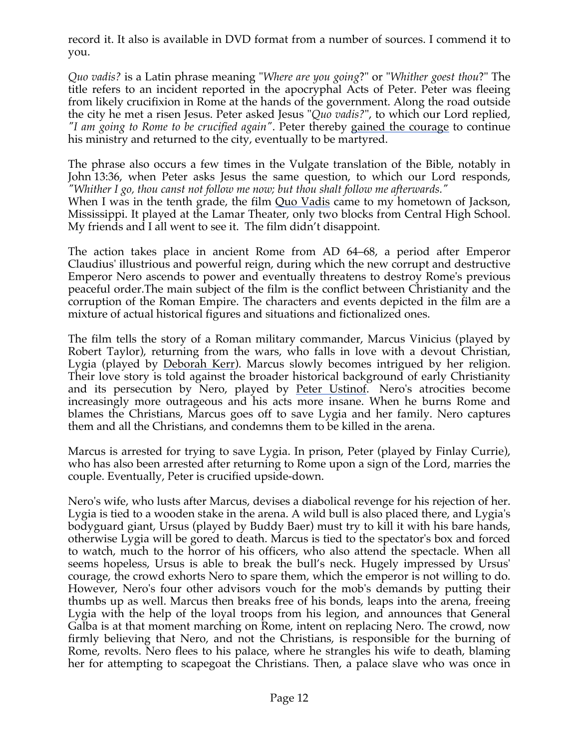record it. It also is available in DVD format from a number of sources. I commend it to you.

*Quo vadis?* is a Latin phrase meaning "*Where are you going*?" or "*Whither goest thou*?" The title refers to an incident reported in the apocryphal Acts of Peter. Peter was fleeing from likely crucifixion in Rome at the hands of the government. Along the road outside the city he met a risen Jesus. Peter asked Jesus "*Quo vadis?*", to which our Lord replied, *"I am going to Rome to be crucified again"*. Peter thereby gained the courage to continue his ministry and returned to the city, eventually to be martyred.

The phrase also occurs a few times in the Vulgate translation of the Bible, notably in John 13:36, when Peter asks Jesus the same question, to which our Lord responds, *"Whither I go, thou canst not follow me now; but thou shalt follow me afterwards."*

When I was in the tenth grade, the film Quo Vadis came to my hometown of Jackson, Mississippi. It played at the Lamar Theater, only two blocks from Central High School. My friends and I all went to see it. The film didn't disappoint.

The action takes place in ancient Rome from AD 64–68, a period after Emperor Claudius' illustrious and powerful reign, during which the new corrupt and destructive Emperor Nero ascends to power and eventually threatens to destroy Rome's previous peaceful order.The main subject of the film is the conflict between Christianity and the corruption of the Roman Empire. The characters and events depicted in the film are a mixture of actual historical figures and situations and fictionalized ones.

The film tells the story of a Roman military commander, Marcus Vinicius (played by Robert Taylor), returning from the wars, who falls in love with a devout Christian, Lygia (played by Deborah Kerr). Marcus slowly becomes intrigued by her religion. Their love story is told against the broader historical background of early Christianity and its persecution by Nero, played by Peter Ustinof. Nero's atrocities become increasingly more outrageous and his acts more insane. When he burns Rome and blames the Christians, Marcus goes off to save Lygia and her family. Nero captures them and all the Christians, and condemns them to be killed in the arena.

Marcus is arrested for trying to save Lygia. In prison, Peter (played by Finlay Currie), who has also been arrested after returning to Rome upon a sign of the Lord, marries the couple. Eventually, Peter is crucified upside-down.

Nero's wife, who lusts after Marcus, devises a diabolical revenge for his rejection of her. Lygia is tied to a wooden stake in the arena. A wild bull is also placed there, and Lygia's bodyguard giant, Ursus (played by Buddy Baer) must try to kill it with his bare hands, otherwise Lygia will be gored to death. Marcus is tied to the spectator's box and forced to watch, much to the horror of his officers, who also attend the spectacle. When all seems hopeless, Ursus is able to break the bull's neck. Hugely impressed by Ursus' courage, the crowd exhorts Nero to spare them, which the emperor is not willing to do. However, Nero's four other advisors vouch for the mob's demands by putting their thumbs up as well. Marcus then breaks free of his bonds, leaps into the arena, freeing Lygia with the help of the loyal troops from his legion, and announces that General Galba is at that moment marching on Rome, intent on replacing Nero. The crowd, now firmly believing that Nero, and not the Christians, is responsible for the burning of Rome, revolts. Nero flees to his palace, where he strangles his wife to death, blaming her for attempting to scapegoat the Christians. Then, a palace slave who was once in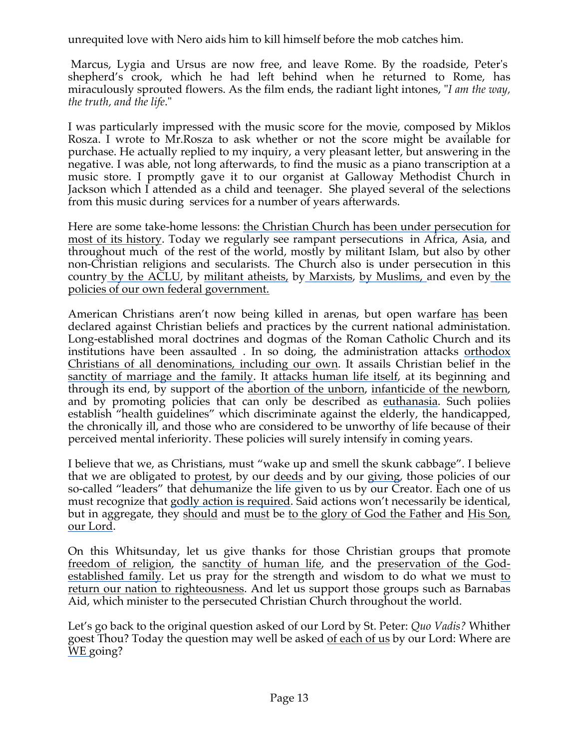unrequited love with Nero aids him to kill himself before the mob catches him.

Marcus, Lygia and Ursus are now free, and leave Rome. By the roadside, Peter's shepherd's crook, which he had left behind when he returned to Rome, has miraculously sprouted flowers. As the film ends, the radiant light intones, "*I am the way, the truth, and the life*."

I was particularly impressed with the music score for the movie, composed by Miklos Rosza. I wrote to Mr.Rosza to ask whether or not the score might be available for purchase. He actually replied to my inquiry, a very pleasant letter, but answering in the negative. I was able, not long afterwards, to find the music as a piano transcription at a music store. I promptly gave it to our organist at Galloway Methodist Church in Jackson which I attended as a child and teenager. She played several of the selections from this music during services for a number of years afterwards.

Here are some take-home lessons: the Christian Church has been under persecution for most of its history. Today we regularly see rampant persecutions in Africa, Asia, and throughout much of the rest of the world, mostly by militant Islam, but also by other non-Christian religions and secularists. The Church also is under persecution in this country by the ACLU, by militant atheists, by Marxists, by Muslims, and even by the policies of our own federal government.

American Christians aren't now being killed in arenas, but open warfare has been declared against Christian beliefs and practices by the current national administation. Long-established moral doctrines and dogmas of the Roman Catholic Church and its institutions have been assaulted . In so doing, the administration attacks <u>orthodox</u> Christians of all denominations, including our own. It assails Christian belief in the sanctity of marriage and the family. It attacks human life itself, at its beginning and through its end, by support of the abortion of the unborn, infanticide of the newborn, and by promoting policies that can only be described as euthanasia. Such poliies establish "health guidelines" which discriminate against the elderly, the handicapped, the chronically ill, and those who are considered to be unworthy of life because of their perceived mental inferiority. These policies will surely intensify in coming years.

I believe that we, as Christians, must "wake up and smell the skunk cabbage". I believe that we are obligated to protest, by our deeds and by our giving, those policies of our so-called "leaders" that dehumanize the life given to us by our Creator. Each one of us must recognize that godly action is required. Said actions won't necessarily be identical, but in aggregate, they should and must be to the glory of God the Father and His Son, our Lord.

On this Whitsunday, let us give thanks for those Christian groups that promote freedom of religion, the sanctity of human life, and the preservation of the Godestablished family. Let us pray for the strength and wisdom to do what we must to return our nation to righteousness. And let us support those groups such as Barnabas Aid, which minister to the persecuted Christian Church throughout the world.

Let's go back to the original question asked of our Lord by St. Peter: *Quo Vadis?* Whither goest Thou? Today the question may well be asked of each of us by our Lord: Where are WE going?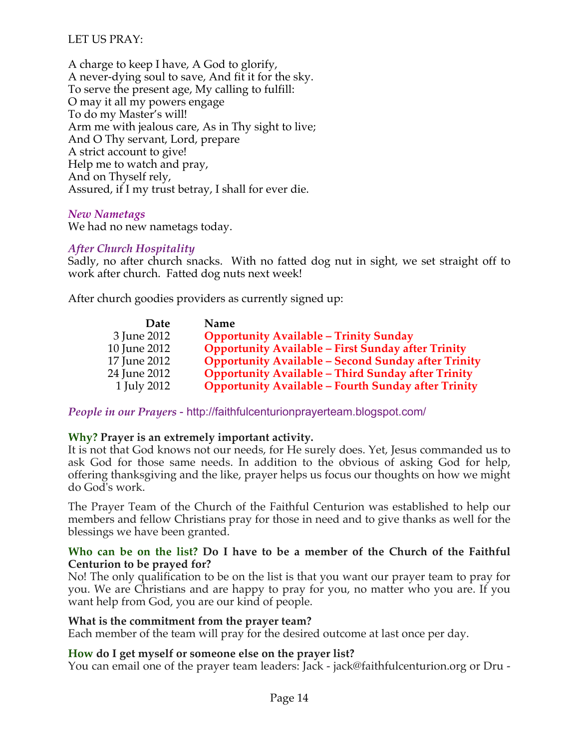# LET US PRAY:

A charge to keep I have, A God to glorify, A never-dying soul to save, And fit it for the sky. To serve the present age, My calling to fulfill: O may it all my powers engage To do my Master's will! Arm me with jealous care, As in Thy sight to live; And O Thy servant, Lord, prepare A strict account to give! Help me to watch and pray, And on Thyself rely, Assured, if I my trust betray, I shall for ever die.

#### *New Nametags*

We had no new nametags today.

#### *After Church Hospitality*

Sadly, no after church snacks. With no fatted dog nut in sight, we set straight off to work after church. Fatted dog nuts next week!

After church goodies providers as currently signed up:

| Date         | Name                                                       |
|--------------|------------------------------------------------------------|
| 3 June 2012  | <b>Opportunity Available - Trinity Sunday</b>              |
| 10 June 2012 | <b>Opportunity Available - First Sunday after Trinity</b>  |
| 17 June 2012 | <b>Opportunity Available - Second Sunday after Trinity</b> |
| 24 June 2012 | <b>Opportunity Available - Third Sunday after Trinity</b>  |
| 1 July 2012  | <b>Opportunity Available - Fourth Sunday after Trinity</b> |

*People in our Prayers* - http://faithfulcenturionprayerteam.blogspot.com/

# **Why? Prayer is an extremely important activity.**

It is not that God knows not our needs, for He surely does. Yet, Jesus commanded us to ask God for those same needs. In addition to the obvious of asking God for help, offering thanksgiving and the like, prayer helps us focus our thoughts on how we might do God's work.

The Prayer Team of the Church of the Faithful Centurion was established to help our members and fellow Christians pray for those in need and to give thanks as well for the blessings we have been granted.

#### **Who can be on the list? Do I have to be a member of the Church of the Faithful Centurion to be prayed for?**

No! The only qualification to be on the list is that you want our prayer team to pray for you. We are Christians and are happy to pray for you, no matter who you are. If you want help from God, you are our kind of people.

# **What is the commitment from the prayer team?**

Each member of the team will pray for the desired outcome at last once per day.

# **How do I get myself or someone else on the prayer list?**

You can email one of the prayer team leaders: Jack - jack@faithfulcenturion.org or Dru -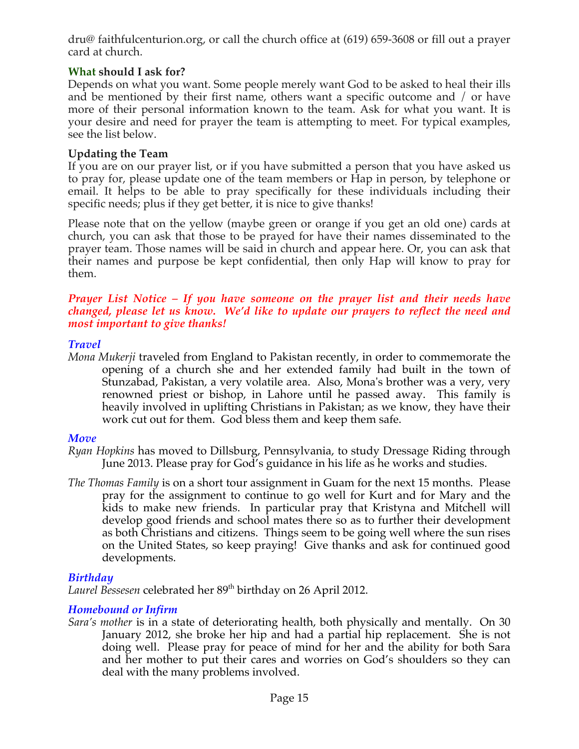dru@ faithfulcenturion.org, or call the church office at (619) 659-3608 or fill out a prayer card at church.

# **What should I ask for?**

Depends on what you want. Some people merely want God to be asked to heal their ills and be mentioned by their first name, others want a specific outcome and / or have more of their personal information known to the team. Ask for what you want. It is your desire and need for prayer the team is attempting to meet. For typical examples, see the list below.

# **Updating the Team**

If you are on our prayer list, or if you have submitted a person that you have asked us to pray for, please update one of the team members or Hap in person, by telephone or email. It helps to be able to pray specifically for these individuals including their specific needs; plus if they get better, it is nice to give thanks!

Please note that on the yellow (maybe green or orange if you get an old one) cards at church, you can ask that those to be prayed for have their names disseminated to the prayer team. Those names will be said in church and appear here. Or, you can ask that their names and purpose be kept confidential, then only Hap will know to pray for them.

#### *Prayer List Notice – If you have someone on the prayer list and their needs have changed, please let us know. We'd like to update our prayers to reflect the need and most important to give thanks!*

# *Travel*

*Mona Mukerji* traveled from England to Pakistan recently, in order to commemorate the opening of a church she and her extended family had built in the town of Stunzabad, Pakistan, a very volatile area. Also, Mona's brother was a very, very renowned priest or bishop, in Lahore until he passed away. This family is heavily involved in uplifting Christians in Pakistan; as we know, they have their work cut out for them. God bless them and keep them safe.

# *Move*

- *Ryan Hopkins* has moved to Dillsburg, Pennsylvania, to study Dressage Riding through June 2013. Please pray for God's guidance in his life as he works and studies.
- *The Thomas Family* is on a short tour assignment in Guam for the next 15 months. Please pray for the assignment to continue to go well for Kurt and for Mary and the kids to make new friends. In particular pray that Kristyna and Mitchell will develop good friends and school mates there so as to further their development as both Christians and citizens. Things seem to be going well where the sun rises on the United States, so keep praying! Give thanks and ask for continued good developments.

# *Birthday*

Laurel Bessesen celebrated her 89<sup>th</sup> birthday on 26 April 2012.

# *Homebound or Infirm*

*Sara's mother* is in a state of deteriorating health, both physically and mentally. On 30 January 2012, she broke her hip and had a partial hip replacement. She is not doing well. Please pray for peace of mind for her and the ability for both Sara and her mother to put their cares and worries on God's shoulders so they can deal with the many problems involved.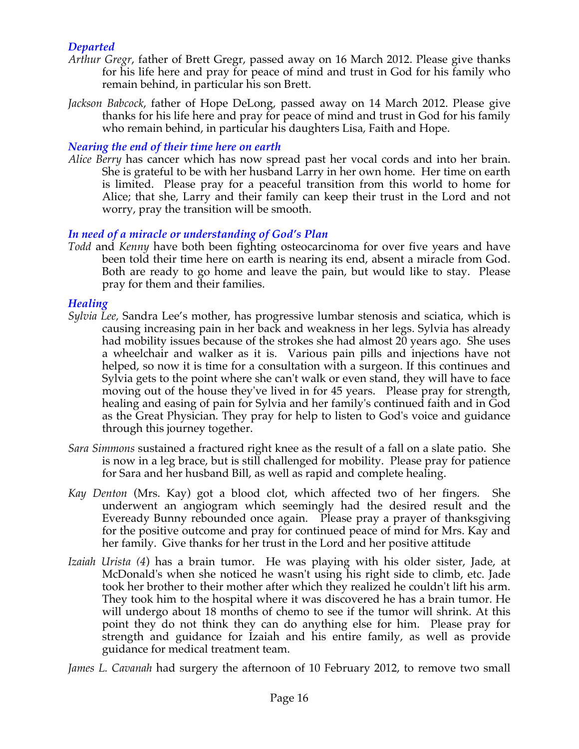# *Departed*

- *Arthur Gregr*, father of Brett Gregr, passed away on 16 March 2012. Please give thanks for his life here and pray for peace of mind and trust in God for his family who remain behind, in particular his son Brett.
- *Jackson Babcock*, father of Hope DeLong, passed away on 14 March 2012. Please give thanks for his life here and pray for peace of mind and trust in God for his family who remain behind, in particular his daughters Lisa, Faith and Hope.

# *Nearing the end of their time here on earth*

*Alice Berry* has cancer which has now spread past her vocal cords and into her brain. She is grateful to be with her husband Larry in her own home. Her time on earth is limited. Please pray for a peaceful transition from this world to home for Alice; that she, Larry and their family can keep their trust in the Lord and not worry, pray the transition will be smooth.

# *In need of a miracle or understanding of God's Plan*

*Todd* and *Kenny* have both been fighting osteocarcinoma for over five years and have been told their time here on earth is nearing its end, absent a miracle from God. Both are ready to go home and leave the pain, but would like to stay. Please pray for them and their families.

# *Healing*

- *Sylvia Lee,* Sandra Lee's mother, has progressive lumbar stenosis and sciatica, which is causing increasing pain in her back and weakness in her legs. Sylvia has already had mobility issues because of the strokes she had almost 20 years ago. She uses a wheelchair and walker as it is. Various pain pills and injections have not helped, so now it is time for a consultation with a surgeon. If this continues and Sylvia gets to the point where she can't walk or even stand, they will have to face moving out of the house they've lived in for 45 years. Please pray for strength, healing and easing of pain for Sylvia and her family's continued faith and in God as the Great Physician. They pray for help to listen to God's voice and guidance through this journey together.
- *Sara Simmons* sustained a fractured right knee as the result of a fall on a slate patio. She is now in a leg brace, but is still challenged for mobility. Please pray for patience for Sara and her husband Bill, as well as rapid and complete healing.
- *Kay Denton* (Mrs. Kay) got a blood clot, which affected two of her fingers. She underwent an angiogram which seemingly had the desired result and the Eveready Bunny rebounded once again. Please pray a prayer of thanksgiving for the positive outcome and pray for continued peace of mind for Mrs. Kay and her family. Give thanks for her trust in the Lord and her positive attitude.
- *Izaiah Urista (4*) has a brain tumor. He was playing with his older sister, Jade, at McDonald's when she noticed he wasn't using his right side to climb, etc. Jade took her brother to their mother after which they realized he couldn't lift his arm. They took him to the hospital where it was discovered he has a brain tumor. He will undergo about 18 months of chemo to see if the tumor will shrink. At this point they do not think they can do anything else for him. Please pray for strength and guidance for Izaiah and his entire family, as well as provide guidance for medical treatment team.

*James L. Cavanah* had surgery the afternoon of 10 February 2012, to remove two small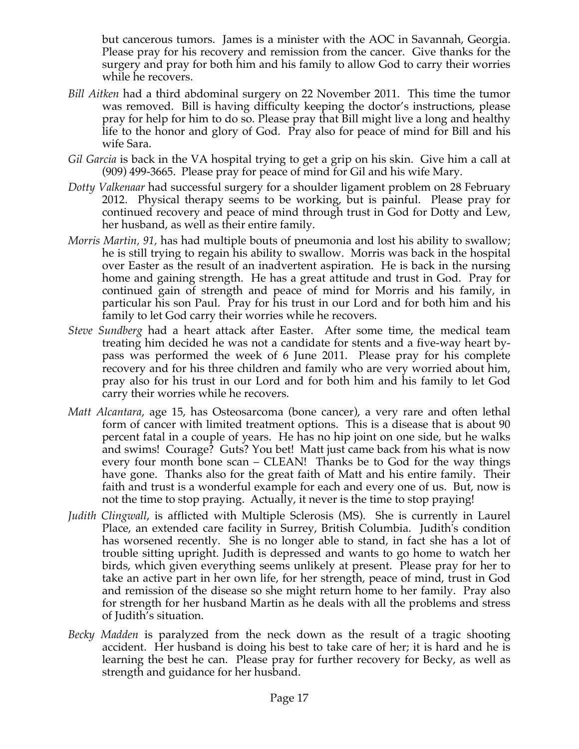but cancerous tumors. James is a minister with the AOC in Savannah, Georgia. Please pray for his recovery and remission from the cancer. Give thanks for the surgery and pray for both him and his family to allow God to carry their worries while he recovers.

- *Bill Aitken* had a third abdominal surgery on 22 November 2011. This time the tumor was removed. Bill is having difficulty keeping the doctor's instructions, please pray for help for him to do so. Please pray that Bill might live a long and healthy life to the honor and glory of God. Pray also for peace of mind for Bill and his wife Sara.
- *Gil Garcia* is back in the VA hospital trying to get a grip on his skin. Give him a call at (909) 499-3665. Please pray for peace of mind for Gil and his wife Mary.
- *Dotty Valkenaar* had successful surgery for a shoulder ligament problem on 28 February 2012. Physical therapy seems to be working, but is painful. Please pray for continued recovery and peace of mind through trust in God for Dotty and Lew, her husband, as well as their entire family.
- *Morris Martin, 91,* has had multiple bouts of pneumonia and lost his ability to swallow; he is still trying to regain his ability to swallow. Morris was back in the hospital over Easter as the result of an inadvertent aspiration. He is back in the nursing home and gaining strength. He has a great attitude and trust in God. Pray for continued gain of strength and peace of mind for Morris and his family, in particular his son Paul. Pray for his trust in our Lord and for both him and his family to let God carry their worries while he recovers.
- *Steve Sundberg* had a heart attack after Easter. After some time, the medical team treating him decided he was not a candidate for stents and a five-way heart bypass was performed the week of 6 June 2011. Please pray for his complete recovery and for his three children and family who are very worried about him, pray also for his trust in our Lord and for both him and his family to let God carry their worries while he recovers.
- *Matt Alcantara*, age 15, has Osteosarcoma (bone cancer), a very rare and often lethal form of cancer with limited treatment options. This is a disease that is about 90 percent fatal in a couple of years. He has no hip joint on one side, but he walks and swims! Courage? Guts? You bet! Matt just came back from his what is now every four month bone scan – CLEAN! Thanks be to God for the way things have gone. Thanks also for the great faith of Matt and his entire family. Their faith and trust is a wonderful example for each and every one of us. But, now is not the time to stop praying. Actually, it never is the time to stop praying!
- *Judith Clingwall*, is afflicted with Multiple Sclerosis (MS). She is currently in Laurel Place, an extended care facility in Surrey, British Columbia. Judith's condition has worsened recently. She is no longer able to stand, in fact she has a lot of trouble sitting upright. Judith is depressed and wants to go home to watch her birds, which given everything seems unlikely at present. Please pray for her to take an active part in her own life, for her strength, peace of mind, trust in God and remission of the disease so she might return home to her family. Pray also for strength for her husband Martin as he deals with all the problems and stress of Judith's situation.
- *Becky Madden* is paralyzed from the neck down as the result of a tragic shooting accident. Her husband is doing his best to take care of her; it is hard and he is learning the best he can. Please pray for further recovery for Becky, as well as strength and guidance for her husband.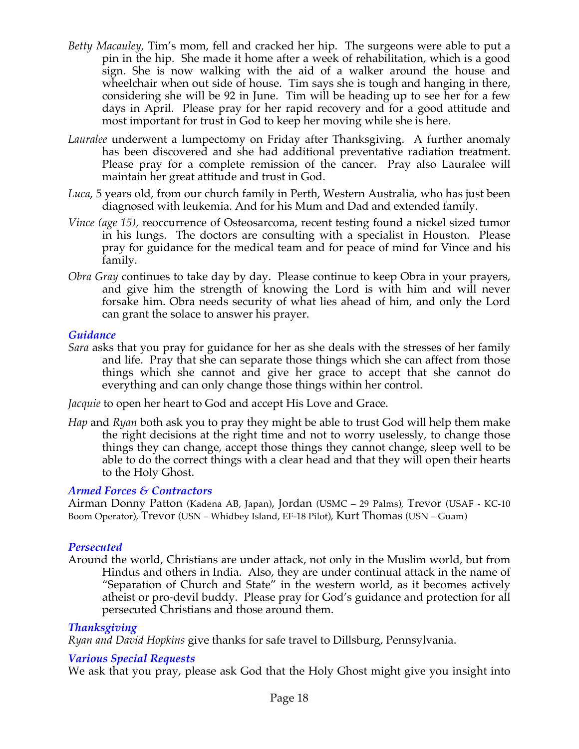- *Betty Macauley,* Tim's mom, fell and cracked her hip. The surgeons were able to put a pin in the hip. She made it home after a week of rehabilitation, which is a good sign. She is now walking with the aid of a walker around the house and wheelchair when out side of house. Tim says she is tough and hanging in there, considering she will be 92 in June. Tim will be heading up to see her for a few days in April. Please pray for her rapid recovery and for a good attitude and most important for trust in God to keep her moving while she is here.
- *Lauralee* underwent a lumpectomy on Friday after Thanksgiving. A further anomaly has been discovered and she had additional preventative radiation treatment. Please pray for a complete remission of the cancer. Pray also Lauralee will maintain her great attitude and trust in God.
- *Luca*, 5 years old, from our church family in Perth, Western Australia, who has just been diagnosed with leukemia. And for his Mum and Dad and extended family.
- *Vince (age 15),* reoccurrence of Osteosarcoma, recent testing found a nickel sized tumor in his lungs. The doctors are consulting with a specialist in Houston. Please pray for guidance for the medical team and for peace of mind for Vince and his family.
- *Obra Gray* continues to take day by day. Please continue to keep Obra in your prayers, and give him the strength of knowing the Lord is with him and will never forsake him. Obra needs security of what lies ahead of him, and only the Lord can grant the solace to answer his prayer.

# *Guidance*

*Sara* asks that you pray for guidance for her as she deals with the stresses of her family and life. Pray that she can separate those things which she can affect from those things which she cannot and give her grace to accept that she cannot do everything and can only change those things within her control.

*Jacquie* to open her heart to God and accept His Love and Grace.

*Hap* and *Ryan* both ask you to pray they might be able to trust God will help them make the right decisions at the right time and not to worry uselessly, to change those things they can change, accept those things they cannot change, sleep well to be able to do the correct things with a clear head and that they will open their hearts to the Holy Ghost.

# *Armed Forces & Contractors*

Airman Donny Patton (Kadena AB, Japan), Jordan (USMC – 29 Palms), Trevor (USAF - KC-10 Boom Operator), Trevor (USN – Whidbey Island, EF-18 Pilot), Kurt Thomas (USN – Guam)

#### *Persecuted*

Around the world, Christians are under attack, not only in the Muslim world, but from Hindus and others in India. Also, they are under continual attack in the name of "Separation of Church and State" in the western world, as it becomes actively atheist or pro-devil buddy. Please pray for God's guidance and protection for all persecuted Christians and those around them.

#### *Thanksgiving*

*Ryan and David Hopkins* give thanks for safe travel to Dillsburg, Pennsylvania.

#### *Various Special Requests*

We ask that you pray, please ask God that the Holy Ghost might give you insight into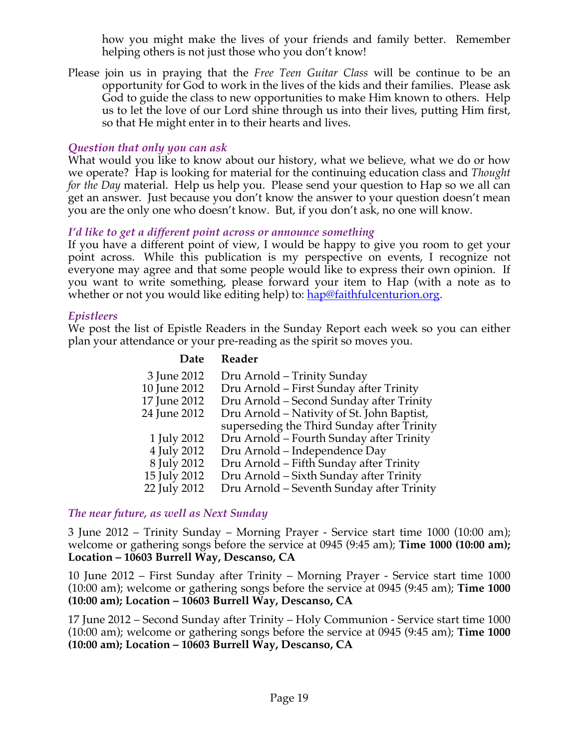how you might make the lives of your friends and family better. Remember helping others is not just those who you don't know!

Please join us in praying that the *Free Teen Guitar Class* will be continue to be an opportunity for God to work in the lives of the kids and their families. Please ask God to guide the class to new opportunities to make Him known to others. Help us to let the love of our Lord shine through us into their lives, putting Him first, so that He might enter in to their hearts and lives.

# *Question that only you can ask*

What would you like to know about our history, what we believe, what we do or how we operate? Hap is looking for material for the continuing education class and *Thought for the Day* material. Help us help you. Please send your question to Hap so we all can get an answer. Just because you don't know the answer to your question doesn't mean you are the only one who doesn't know. But, if you don't ask, no one will know.

# *I'd like to get a different point across or announce something*

If you have a different point of view, I would be happy to give you room to get your point across. While this publication is my perspective on events, I recognize not everyone may agree and that some people would like to express their own opinion. If you want to write something, please forward your item to Hap (with a note as to whether or not you would like editing help) to: hap@faithfulcenturion.org.

# *Epistleers*

We post the list of Epistle Readers in the Sunday Report each week so you can either plan your attendance or your pre-reading as the spirit so moves you.

# **Date Reader**

| 3 June 2012<br>10 June 2012<br>17 June 2012<br>24 June 2012 | Dru Arnold - Trinity Sunday<br>Dru Arnold – First Sunday after Trinity<br>Dru Arnold - Second Sunday after Trinity<br>Dru Arnold – Nativity of St. John Baptist,<br>superseding the Third Sunday after Trinity |
|-------------------------------------------------------------|----------------------------------------------------------------------------------------------------------------------------------------------------------------------------------------------------------------|
| 1 July 2012                                                 | Dru Arnold – Fourth Sunday after Trinity                                                                                                                                                                       |
| 4 July 2012                                                 | Dru Arnold – Independence Day                                                                                                                                                                                  |
| 8 July 2012                                                 | Dru Arnold - Fifth Sunday after Trinity                                                                                                                                                                        |
| 15 July 2012                                                | Dru Arnold - Sixth Sunday after Trinity                                                                                                                                                                        |
| 22 July 2012                                                | Dru Arnold – Seventh Sunday after Trinity                                                                                                                                                                      |

# *The near future, as well as Next Sunday*

3 June 2012 – Trinity Sunday – Morning Prayer - Service start time 1000 (10:00 am); welcome or gathering songs before the service at 0945 (9:45 am); **Time 1000 (10:00 am); Location – 10603 Burrell Way, Descanso, CA**

10 June 2012 – First Sunday after Trinity – Morning Prayer - Service start time 1000 (10:00 am); welcome or gathering songs before the service at 0945 (9:45 am); **Time 1000 (10:00 am); Location – 10603 Burrell Way, Descanso, CA**

17 June 2012 – Second Sunday after Trinity – Holy Communion - Service start time 1000 (10:00 am); welcome or gathering songs before the service at 0945 (9:45 am); **Time 1000 (10:00 am); Location – 10603 Burrell Way, Descanso, CA**